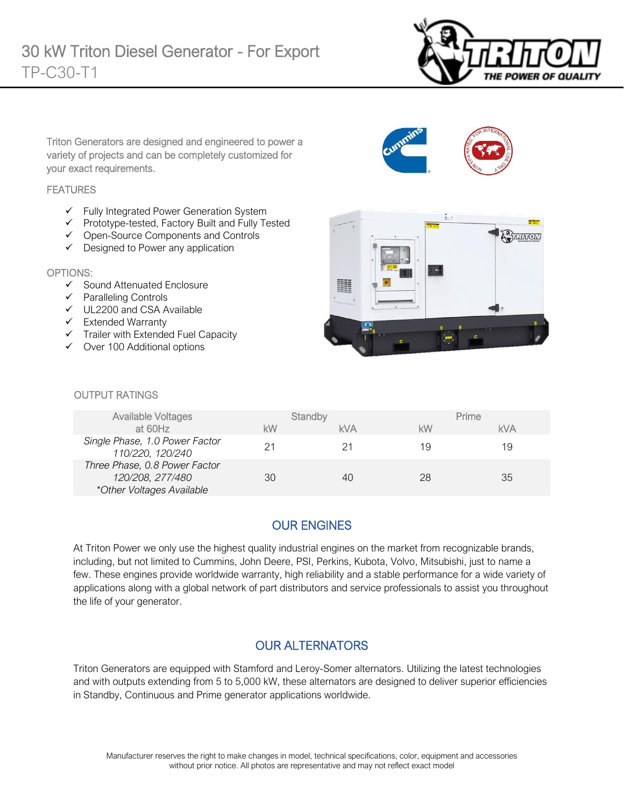

Triton Generators are designed and engineered to power a variety of projects and can be completely customized for your exact requirements.

#### **FEATURES**

- ✓ Fully Integrated Power Generation System
- ✓ Prototype-tested, Factory Built and Fully Tested
- ✓ Open-Source Components and Controls
- ✓ Designed to Power any application

#### OPTIONS:

- ✓ Sound Attenuated Enclosure
- ✓ Paralleling Controls
- ✓ UL2200 and CSA Available
- ✓ Extended Warranty
- ✓ Trailer with Extended Fuel Capacity
- ✓ Over 100 Additional options



#### **OUTPUT RATINGS**

| Available Voltages                                                             | Standby |     | Prime |            |
|--------------------------------------------------------------------------------|---------|-----|-------|------------|
| at 60Hz                                                                        | kW      | kVA | kW    | <b>kVA</b> |
| Single Phase, 1.0 Power Factor<br>110/220, 120/240                             | 21      |     | 19    | 19         |
| Three Phase, 0.8 Power Factor<br>120/208, 277/480<br>*Other Voltages Available | 30      | 40  | 28    | 35         |

## OUR ENGINES

At Triton Power we only use the highest quality industrial engines on the market from recognizable brands, including, but not limited to Cummins, John Deere, PSI, Perkins, Kubota, Volvo, Mitsubishi, just to name a few. These engines provide worldwide warranty, high reliability and a stable performance for a wide variety of applications along with a global network of part distributors and service professionals to assist you throughout the life of your generator.

#### OUR ALTERNATORS

Triton Generators are equipped with Stamford and Leroy-Somer alternators. Utilizing the latest technologies and with outputs extending from 5 to 5,000 kW, these alternators are designed to deliver superior efficiencies in Standby, Continuous and Prime generator applications worldwide.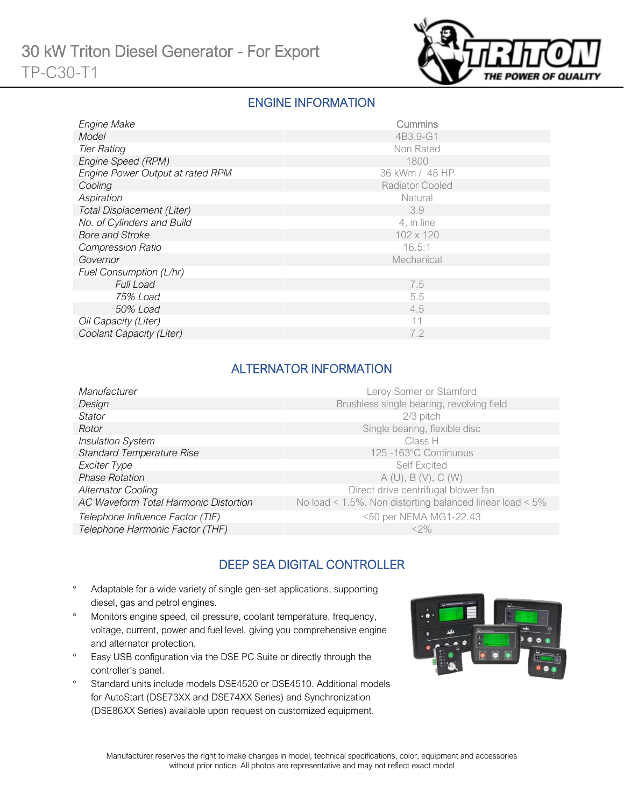

### ENGINE INFORMATION

| Engine Make                       | Cummins         |
|-----------------------------------|-----------------|
| Model                             | 4B3.9-G1        |
| <b>Tier Rating</b>                | Non Rated       |
| Engine Speed (RPM)                | 1800            |
| Engine Power Output at rated RPM  | 36 kWm / 48 HP  |
| Cooling                           | Radiator Cooled |
| Aspiration                        | Natural         |
| <b>Total Displacement (Liter)</b> | 3.9             |
| No. of Cylinders and Build        | 4, in line      |
| <b>Bore and Stroke</b>            | 102 x 120       |
| <b>Compression Ratio</b>          | 16.5:1          |
| Governor                          | Mechanical      |
| Fuel Consumption (L/hr)           |                 |
| <b>Full Load</b>                  | 7.5             |
| 75% Load                          | 5.5             |
| 50% Load                          | 4.5             |
| Oil Capacity (Liter)              | 11              |
| Coolant Capacity (Liter)          | 7.2             |

## ALTERNATOR INFORMATION

| Manufacturer                          | Leroy Somer or Stamford                                  |
|---------------------------------------|----------------------------------------------------------|
| Design                                | Brushless single bearing, revolving field                |
| Stator                                | 2/3 pitch                                                |
| Rotor                                 | Single bearing, flexible disc                            |
| <b>Insulation System</b>              | Class H                                                  |
| <b>Standard Temperature Rise</b>      | 125 -163°C Continuous                                    |
| Exciter Type                          | <b>Self Excited</b>                                      |
| <b>Phase Rotation</b>                 | A(U), B(V), C(W)                                         |
| <b>Alternator Cooling</b>             | Direct drive centrifugal blower fan                      |
| AC Waveform Total Harmonic Distortion | No load < 1.5%. Non distorting balanced linear load < 5% |
| Telephone Influence Factor (TIF)      | <50 per NEMA MG1-22.43                                   |
| Telephone Harmonic Factor (THF)       | $<$ 2%                                                   |
|                                       |                                                          |

# DEEP SEA DIGITAL CONTROLLER

- Adaptable for a wide variety of single gen-set applications, supporting diesel, gas and petrol engines.
- Monitors engine speed, oil pressure, coolant temperature, frequency, voltage, current, power and fuel level, giving you comprehensive engine and alternator protection.
- <sup>o</sup> Easy USB configuration via the DSE PC Suite or directly through the controller's panel.
- <sup>o</sup> Standard units include models DSE4520 or DSE4510. Additional models for AutoStart (DSE73XX and DSE74XX Series) and Synchronization (DSE86XX Series) available upon request on customized equipment.

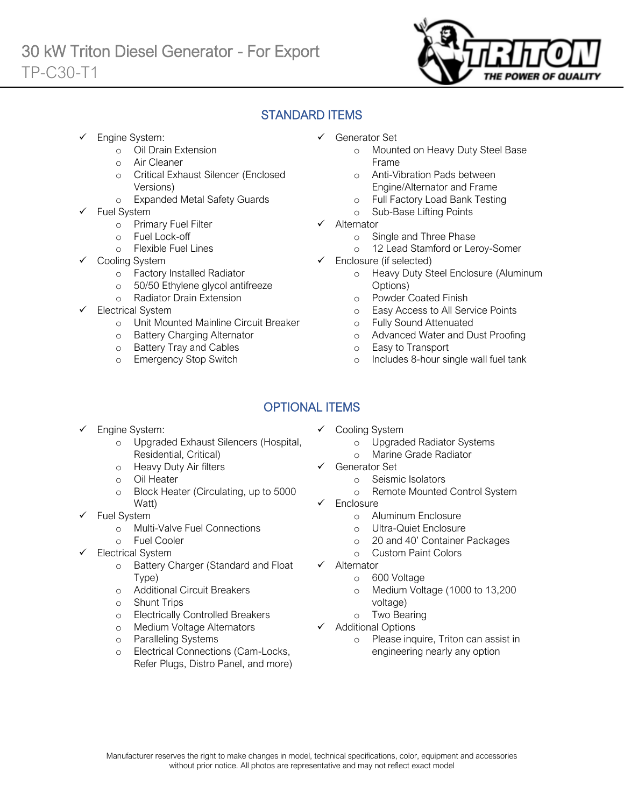

# STANDARD ITEMS

Engine System:

Ī

- o Oil Drain Extension
- o Air Cleaner
- o Critical Exhaust Silencer (Enclosed Versions)
- o Expanded Metal Safety Guards
- Fuel System
	- o Primary Fuel Filter
	- o Fuel Lock-off
		- o Flexible Fuel Lines
	- Cooling System
		- o Factory Installed Radiator
		- o 50/50 Ethylene glycol antifreeze
		- o Radiator Drain Extension
- Electrical System
	- o Unit Mounted Mainline Circuit Breaker
	- o Battery Charging Alternator
	- o Battery Tray and Cables
	- o Emergency Stop Switch
- ✓ Generator Set
	- o Mounted on Heavy Duty Steel Base Frame
	- o Anti-Vibration Pads between Engine/Alternator and Frame
	- o Full Factory Load Bank Testing
	- o Sub-Base Lifting Points
- ✓ Alternator
	- o Single and Three Phase
	- o 12 Lead Stamford or Leroy-Somer
- $\checkmark$  Enclosure (if selected)
	- o Heavy Duty Steel Enclosure (Aluminum Options)
	- o Powder Coated Finish
	- o Easy Access to All Service Points
	- o Fully Sound Attenuated
	- o Advanced Water and Dust Proofing
	- o Easy to Transport
	- o Includes 8-hour single wall fuel tank

# OPTIONAL ITEMS

- Engine System:
	- o Upgraded Exhaust Silencers (Hospital, Residential, Critical)
	- o Heavy Duty Air filters
	- o Oil Heater
	- o Block Heater (Circulating, up to 5000 Watt)
- ✓ Fuel System
	- o Multi-Valve Fuel Connections
	- o Fuel Cooler
- Electrical System
	- o Battery Charger (Standard and Float Type)
	- o Additional Circuit Breakers
	- o Shunt Trips
	- o Electrically Controlled Breakers
	- o Medium Voltage Alternators
	- o Paralleling Systems
	- o Electrical Connections (Cam-Locks, Refer Plugs, Distro Panel, and more)
- ✓ Cooling System
	- o Upgraded Radiator Systems
	- o Marine Grade Radiator
- ✓ Generator Set
	- o Seismic Isolators
	- o Remote Mounted Control System
- ✓ Enclosure
	- o Aluminum Enclosure
	- o Ultra-Quiet Enclosure
	- o 20 and 40' Container Packages
	- o Custom Paint Colors
- ✓ Alternator
	- o 600 Voltage
	- o Medium Voltage (1000 to 13,200 voltage)
	- o Two Bearing
- ✓ Additional Options
	- o Please inquire, Triton can assist in engineering nearly any option